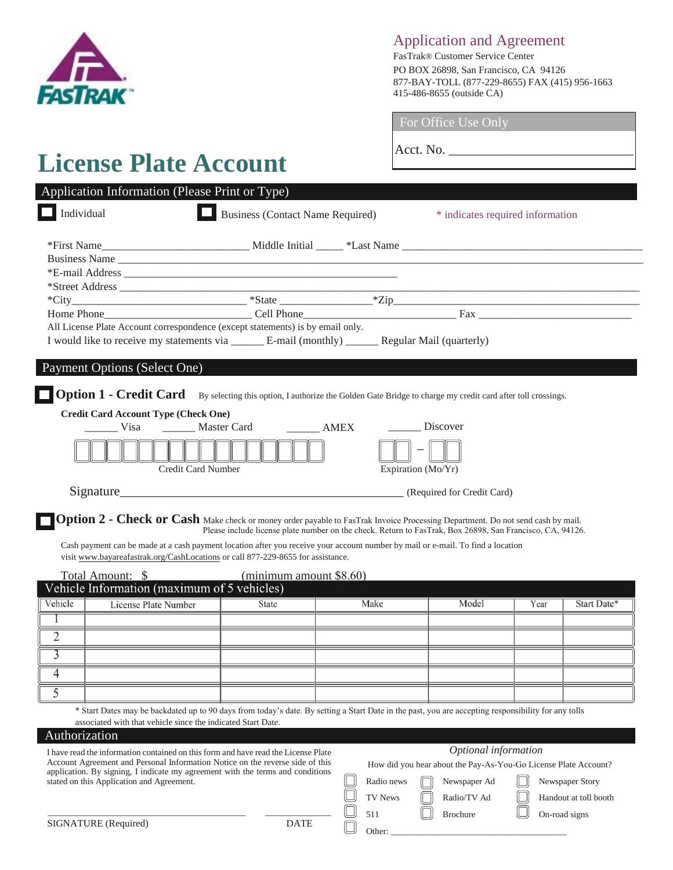

# Application and Agreement

FasTrak® Customer Service Center PO BOX 26898, San Francisco, CA 94126 877-BAY-TOLL (877-229-8655) FAX (415) 956-1663 415-486-8655 (outside CA)

# **License Plate Account**

For Office Use Only

Acct. No.

| Application Information (Please Print or Type)                                                                                                                            |                                         |  |                                                                                                                                                                                                                                                                               |  |  |  |  |  |
|---------------------------------------------------------------------------------------------------------------------------------------------------------------------------|-----------------------------------------|--|-------------------------------------------------------------------------------------------------------------------------------------------------------------------------------------------------------------------------------------------------------------------------------|--|--|--|--|--|
| Individual                                                                                                                                                                | <b>Business (Contact Name Required)</b> |  | * indicates required information                                                                                                                                                                                                                                              |  |  |  |  |  |
|                                                                                                                                                                           |                                         |  |                                                                                                                                                                                                                                                                               |  |  |  |  |  |
|                                                                                                                                                                           |                                         |  |                                                                                                                                                                                                                                                                               |  |  |  |  |  |
|                                                                                                                                                                           |                                         |  |                                                                                                                                                                                                                                                                               |  |  |  |  |  |
|                                                                                                                                                                           |                                         |  |                                                                                                                                                                                                                                                                               |  |  |  |  |  |
|                                                                                                                                                                           |                                         |  | $*City$ $*City$ $*Right$ $*Right$ $*Right$ $*Zip$ $*Zip$ $*Zip$ $*{Iip}$ $*{Iip}$ $*{Iip}$ $*{Iip}$ $*{Iip}$ $*{Iip}$ $*{Iip}$ $*{Iip}$ $*{Iip}$ $*{Iip}$ $*{Iip}$ $*{Iip}$ $*{Iip}$ $*{Iip}$ $*{Iip}$ $*{Iip}$ $*{Iip}$ $*{Iip}$ $*{Iip}$ $*{Iip}$ $*{Iip}$ $*{Iip}$ $*{Iip$ |  |  |  |  |  |
|                                                                                                                                                                           |                                         |  |                                                                                                                                                                                                                                                                               |  |  |  |  |  |
| All License Plate Account correspondence (except statements) is by email only.                                                                                            |                                         |  |                                                                                                                                                                                                                                                                               |  |  |  |  |  |
| I would like to receive my statements via ________ E-mail (monthly) _______ Regular Mail (quarterly)                                                                      |                                         |  |                                                                                                                                                                                                                                                                               |  |  |  |  |  |
| Payment Options (Select One)<br><b>Option 1 - Credit Card</b> By selecting this option, I authorize the Golden Gate Bridge to charge my credit card after toll crossings. |                                         |  |                                                                                                                                                                                                                                                                               |  |  |  |  |  |
| <b>Credit Card Account Type (Check One)</b>                                                                                                                               |                                         |  |                                                                                                                                                                                                                                                                               |  |  |  |  |  |
| Visa Master Card AMEX                                                                                                                                                     |                                         |  | Discover                                                                                                                                                                                                                                                                      |  |  |  |  |  |
| Credit Card Number                                                                                                                                                        |                                         |  | Expiration $(Mo/Yr)$                                                                                                                                                                                                                                                          |  |  |  |  |  |
| Signature                                                                                                                                                                 |                                         |  | (Required for Credit Card)                                                                                                                                                                                                                                                    |  |  |  |  |  |

**Option 2 - Check or Cash** Make check or money order payable to FasTrak Invoice Processing Department. Do not send cash by mail. Please include license plate number on the check. Return to FasTrak, Box 26898, San Francisco, CA, 94126.

Cash payment can be made at a cash payment location after you receive your account number by mail or e-mail. To find a location visit www.bayareafastrak.org/CashLocations or call 877-229-8655 for assistance.

|                                             | Total Amount: \$     | (minimum amount \$8.60) |      |       |      |             |  |  |  |
|---------------------------------------------|----------------------|-------------------------|------|-------|------|-------------|--|--|--|
| Vehicle Information (maximum of 5 vehicles) |                      |                         |      |       |      |             |  |  |  |
| Vehicle                                     | License Plate Number | <b>State</b>            | Make | Model | Year | Start Date* |  |  |  |
|                                             |                      |                         |      |       |      |             |  |  |  |
|                                             |                      |                         |      |       |      |             |  |  |  |
|                                             |                      |                         |      |       |      |             |  |  |  |
|                                             |                      |                         |      |       |      |             |  |  |  |
|                                             |                      |                         |      |       |      |             |  |  |  |

\* Start Dates may be backdated up to 90 days from today's date. By setting a Start Date in the past, you are accepting responsibility for any tolls associated with that vehicle since the indicated Start Date.

# Authorization

I have read the information contained on this form and have read the License Plate Account Agreement and Personal Information Notice on the reverse side of this application. By signing, I indicate my agreement with the terms and conditions stated on this Application and Agreement.

\_\_\_\_\_\_\_\_\_\_\_\_\_\_\_\_\_\_\_\_\_\_\_\_\_\_\_\_\_\_\_\_\_\_\_\_\_\_\_\_\_\_\_\_\_ \_\_\_\_\_\_\_\_\_\_\_\_\_\_\_

# *Optional information*

How did you hear about the Pay-As-You-Go License Plate Account?

Radio news  $\Box$  Newspaper Ad  $\Box$  Newspaper Story

TV News  $\Box$  Radio/TV Ad  $\Box$  Handout at toll booth

511  $\Box$  Brochure  $\Box$  On-road signs

SIGNATURE (Required) DATE

Other: